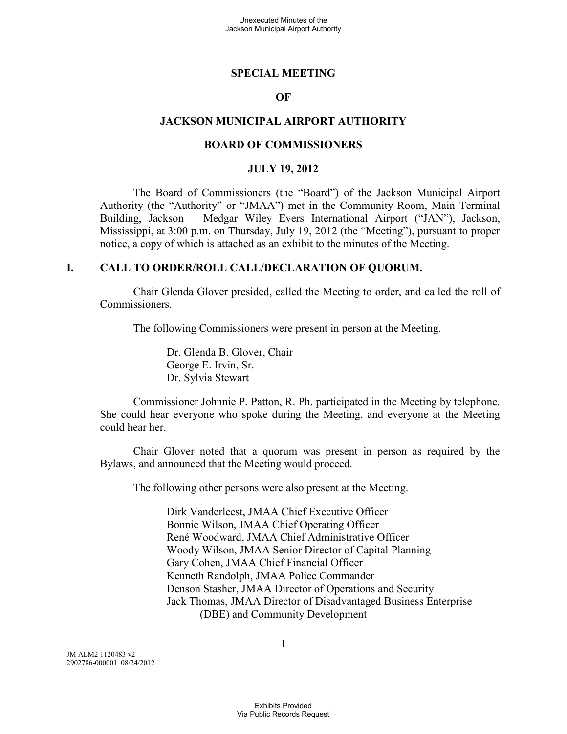#### **SPECIAL MEETING**

### **OF**

#### **JACKSON MUNICIPAL AIRPORT AUTHORITY**

#### **BOARD OF COMMISSIONERS**

#### **JULY 19, 2012**

The Board of Commissioners (the "Board") of the Jackson Municipal Airport Authority (the "Authority" or "JMAA") met in the Community Room, Main Terminal Building, Jackson – Medgar Wiley Evers International Airport ("JAN"), Jackson, Mississippi, at 3:00 p.m. on Thursday, July 19, 2012 (the "Meeting"), pursuant to proper notice, a copy of which is attached as an exhibit to the minutes of the Meeting.

#### **I. CALL TO ORDER/ROLL CALL/DECLARATION OF QUORUM.**

Chair Glenda Glover presided, called the Meeting to order, and called the roll of Commissioners.

The following Commissioners were present in person at the Meeting.

Dr. Glenda B. Glover, Chair George E. Irvin, Sr. Dr. Sylvia Stewart

Commissioner Johnnie P. Patton, R. Ph. participated in the Meeting by telephone. She could hear everyone who spoke during the Meeting, and everyone at the Meeting could hear her.

Chair Glover noted that a quorum was present in person as required by the Bylaws, and announced that the Meeting would proceed.

The following other persons were also present at the Meeting.

Dirk Vanderleest, JMAA Chief Executive Officer Bonnie Wilson, JMAA Chief Operating Officer René Woodward, JMAA Chief Administrative Officer Woody Wilson, JMAA Senior Director of Capital Planning Gary Cohen, JMAA Chief Financial Officer Kenneth Randolph, JMAA Police Commander Denson Stasher, JMAA Director of Operations and Security Jack Thomas, JMAA Director of Disadvantaged Business Enterprise (DBE) and Community Development

JM ALM2 1120483 v2 2902786-000001 08/24/2012 1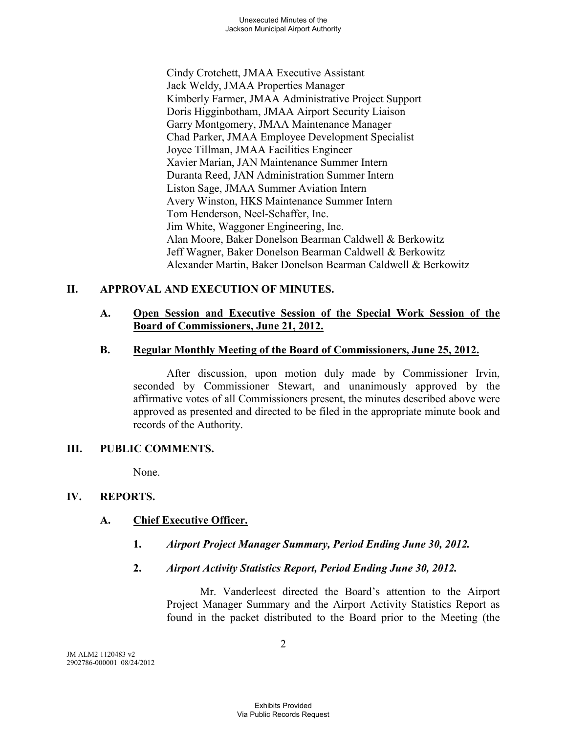Cindy Crotchett, JMAA Executive Assistant Jack Weldy, JMAA Properties Manager Kimberly Farmer, JMAA Administrative Project Support Doris Higginbotham, JMAA Airport Security Liaison Garry Montgomery, JMAA Maintenance Manager Chad Parker, JMAA Employee Development Specialist Joyce Tillman, JMAA Facilities Engineer Xavier Marian, JAN Maintenance Summer Intern Duranta Reed, JAN Administration Summer Intern Liston Sage, JMAA Summer Aviation Intern Avery Winston, HKS Maintenance Summer Intern Tom Henderson, Neel-Schaffer, Inc. Jim White, Waggoner Engineering, Inc. Alan Moore, Baker Donelson Bearman Caldwell & Berkowitz Jeff Wagner, Baker Donelson Bearman Caldwell & Berkowitz Alexander Martin, Baker Donelson Bearman Caldwell & Berkowitz

# **II. APPROVAL AND EXECUTION OF MINUTES.**

### **A. Open Session and Executive Session of the Special Work Session of the Board of Commissioners, June 21, 2012.**

### **B. Regular Monthly Meeting of the Board of Commissioners, June 25, 2012.**

After discussion, upon motion duly made by Commissioner Irvin, seconded by Commissioner Stewart, and unanimously approved by the affirmative votes of all Commissioners present, the minutes described above were approved as presented and directed to be filed in the appropriate minute book and records of the Authority.

## **III. PUBLIC COMMENTS.**

None.

## **IV. REPORTS.**

## **A. Chief Executive Officer.**

- **1.** *Airport Project Manager Summary, Period Ending June 30, 2012.*
- **2.** *Airport Activity Statistics Report, Period Ending June 30, 2012.*

Mr. Vanderleest directed the Board's attention to the Airport Project Manager Summary and the Airport Activity Statistics Report as found in the packet distributed to the Board prior to the Meeting (the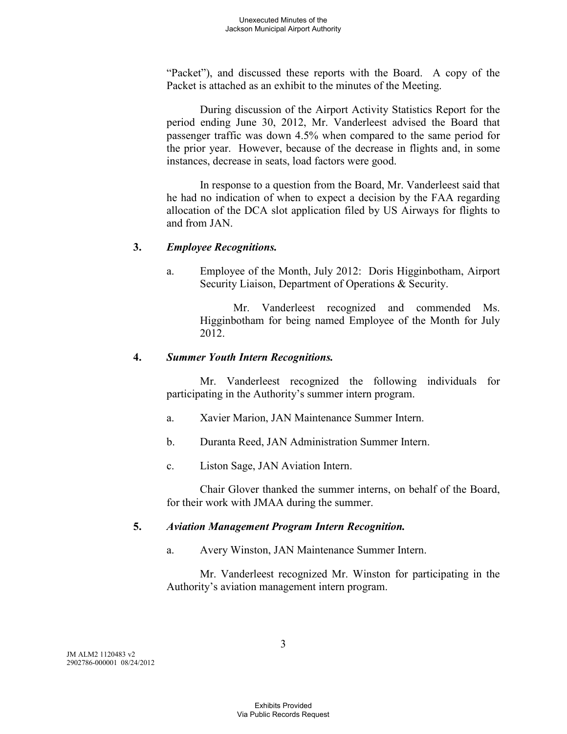"Packet"), and discussed these reports with the Board. A copy of the Packet is attached as an exhibit to the minutes of the Meeting.

During discussion of the Airport Activity Statistics Report for the period ending June 30, 2012, Mr. Vanderleest advised the Board that passenger traffic was down 4.5% when compared to the same period for the prior year. However, because of the decrease in flights and, in some instances, decrease in seats, load factors were good.

In response to a question from the Board, Mr. Vanderleest said that he had no indication of when to expect a decision by the FAA regarding allocation of the DCA slot application filed by US Airways for flights to and from JAN.

### **3.** *Employee Recognitions.*

a. Employee of the Month, July 2012: Doris Higginbotham, Airport Security Liaison, Department of Operations & Security.

> Mr. Vanderleest recognized and commended Ms. Higginbotham for being named Employee of the Month for July 2012.

### **4.** *Summer Youth Intern Recognitions.*

Mr. Vanderleest recognized the following individuals for participating in the Authority's summer intern program.

- a. Xavier Marion, JAN Maintenance Summer Intern.
- b. Duranta Reed, JAN Administration Summer Intern.
- c. Liston Sage, JAN Aviation Intern.

Chair Glover thanked the summer interns, on behalf of the Board, for their work with JMAA during the summer.

## **5.** *Aviation Management Program Intern Recognition.*

a. Avery Winston, JAN Maintenance Summer Intern.

Mr. Vanderleest recognized Mr. Winston for participating in the Authority's aviation management intern program.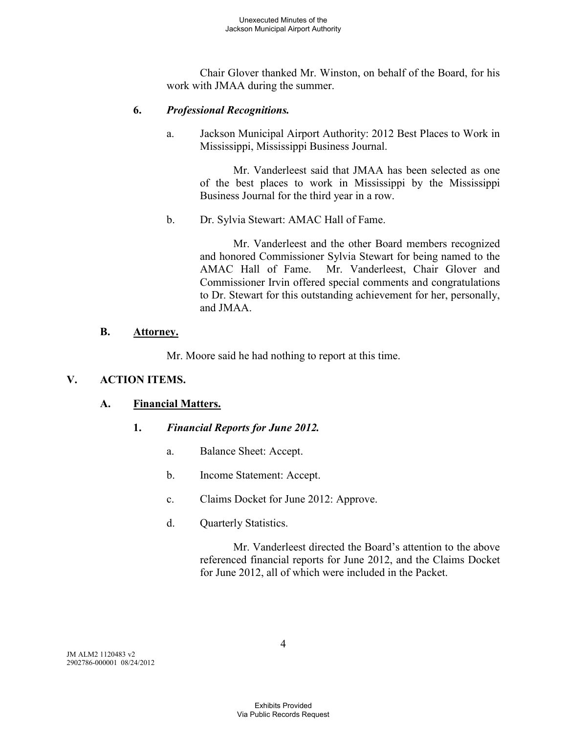Chair Glover thanked Mr. Winston, on behalf of the Board, for his work with JMAA during the summer.

### **6.** *Professional Recognitions.*

a. Jackson Municipal Airport Authority: 2012 Best Places to Work in Mississippi, Mississippi Business Journal.

> Mr. Vanderleest said that JMAA has been selected as one of the best places to work in Mississippi by the Mississippi Business Journal for the third year in a row.

b. Dr. Sylvia Stewart: AMAC Hall of Fame.

Mr. Vanderleest and the other Board members recognized and honored Commissioner Sylvia Stewart for being named to the AMAC Hall of Fame. Mr. Vanderleest, Chair Glover and Commissioner Irvin offered special comments and congratulations to Dr. Stewart for this outstanding achievement for her, personally, and JMAA.

### **B. Attorney.**

Mr. Moore said he had nothing to report at this time.

## **V. ACTION ITEMS.**

## **A. Financial Matters.**

## **1.** *Financial Reports for June 2012.*

- a. Balance Sheet: Accept.
- b. Income Statement: Accept.
- c. Claims Docket for June 2012: Approve.
- d. Quarterly Statistics.

Mr. Vanderleest directed the Board's attention to the above referenced financial reports for June 2012, and the Claims Docket for June 2012, all of which were included in the Packet.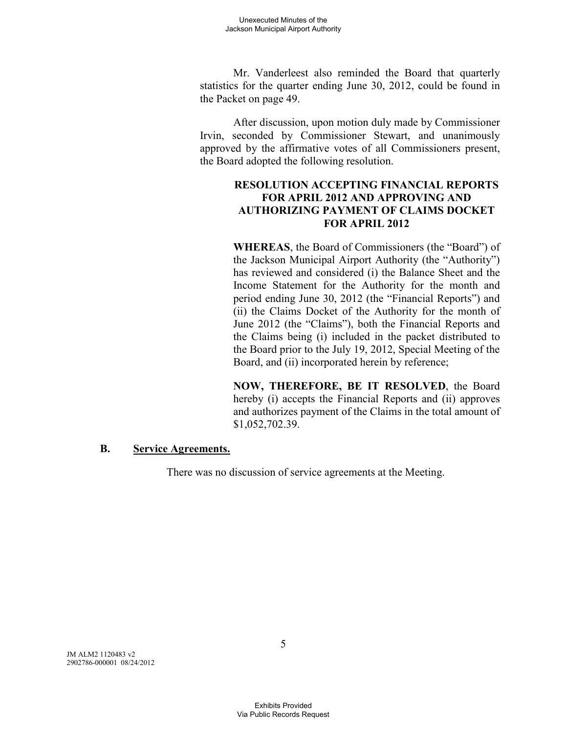Mr. Vanderleest also reminded the Board that quarterly statistics for the quarter ending June 30, 2012, could be found in the Packet on page 49.

After discussion, upon motion duly made by Commissioner Irvin, seconded by Commissioner Stewart, and unanimously approved by the affirmative votes of all Commissioners present, the Board adopted the following resolution.

### **RESOLUTION ACCEPTING FINANCIAL REPORTS FOR APRIL 2012 AND APPROVING AND AUTHORIZING PAYMENT OF CLAIMS DOCKET FOR APRIL 2012**

**WHEREAS**, the Board of Commissioners (the "Board") of the Jackson Municipal Airport Authority (the "Authority") has reviewed and considered (i) the Balance Sheet and the Income Statement for the Authority for the month and period ending June 30, 2012 (the "Financial Reports") and (ii) the Claims Docket of the Authority for the month of June 2012 (the "Claims"), both the Financial Reports and the Claims being (i) included in the packet distributed to the Board prior to the July 19, 2012, Special Meeting of the Board, and (ii) incorporated herein by reference;

**NOW, THEREFORE, BE IT RESOLVED**, the Board hereby (i) accepts the Financial Reports and (ii) approves and authorizes payment of the Claims in the total amount of \$1,052,702.39.

### **B. Service Agreements.**

There was no discussion of service agreements at the Meeting.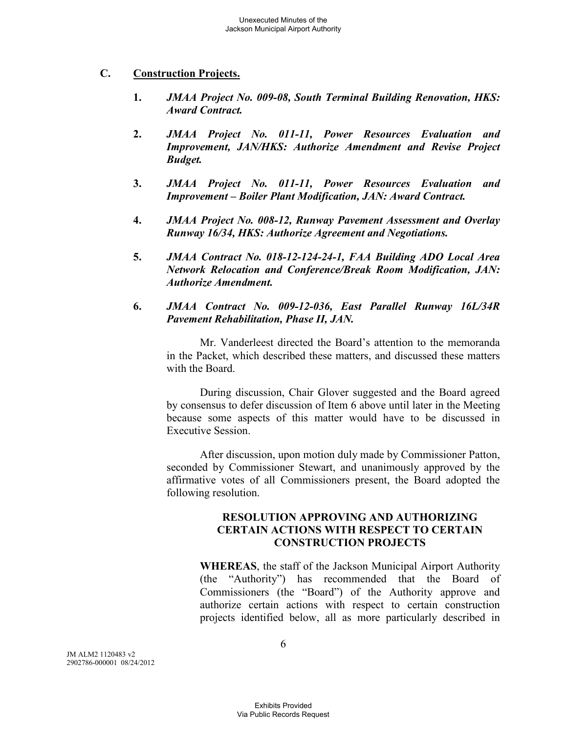### **C. Construction Projects.**

- **1.** *JMAA Project No. 009-08, South Terminal Building Renovation, HKS: Award Contract.*
- **2.** *JMAA Project No. 011-11, Power Resources Evaluation and Improvement, JAN/HKS: Authorize Amendment and Revise Project Budget.*
- **3.** *JMAA Project No. 011-11, Power Resources Evaluation and Improvement – Boiler Plant Modification, JAN: Award Contract.*
- **4.** *JMAA Project No. 008-12, Runway Pavement Assessment and Overlay Runway 16/34, HKS: Authorize Agreement and Negotiations.*
- **5.** *JMAA Contract No. 018-12-124-24-1, FAA Building ADO Local Area Network Relocation and Conference/Break Room Modification, JAN: Authorize Amendment.*
- **6.** *JMAA Contract No. 009-12-036, East Parallel Runway 16L/34R Pavement Rehabilitation, Phase II, JAN.*

Mr. Vanderleest directed the Board's attention to the memoranda in the Packet, which described these matters, and discussed these matters with the Board.

During discussion, Chair Glover suggested and the Board agreed by consensus to defer discussion of Item 6 above until later in the Meeting because some aspects of this matter would have to be discussed in Executive Session.

After discussion, upon motion duly made by Commissioner Patton, seconded by Commissioner Stewart, and unanimously approved by the affirmative votes of all Commissioners present, the Board adopted the following resolution.

### **RESOLUTION APPROVING AND AUTHORIZING CERTAIN ACTIONS WITH RESPECT TO CERTAIN CONSTRUCTION PROJECTS**

**WHEREAS**, the staff of the Jackson Municipal Airport Authority (the "Authority") has recommended that the Board of Commissioners (the "Board") of the Authority approve and authorize certain actions with respect to certain construction projects identified below, all as more particularly described in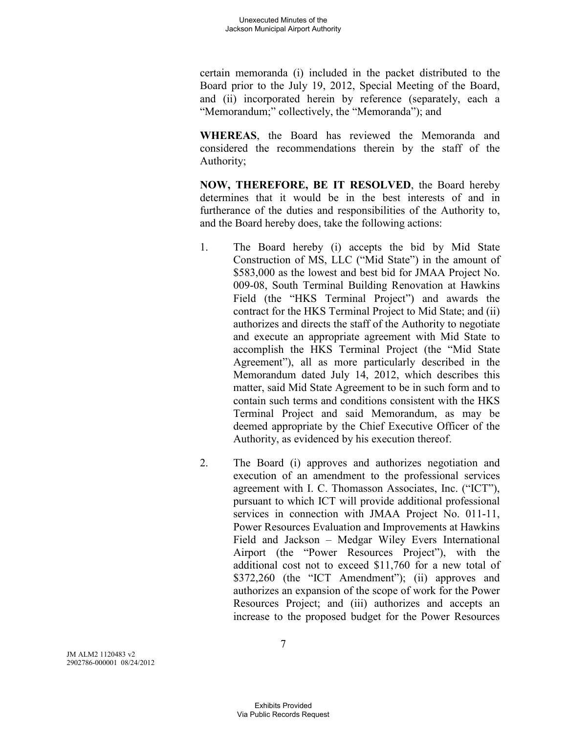certain memoranda (i) included in the packet distributed to the Board prior to the July 19, 2012, Special Meeting of the Board, and (ii) incorporated herein by reference (separately, each a "Memorandum;" collectively, the "Memoranda"); and

**WHEREAS**, the Board has reviewed the Memoranda and considered the recommendations therein by the staff of the Authority;

**NOW, THEREFORE, BE IT RESOLVED**, the Board hereby determines that it would be in the best interests of and in furtherance of the duties and responsibilities of the Authority to, and the Board hereby does, take the following actions:

- 1. The Board hereby (i) accepts the bid by Mid State Construction of MS, LLC ("Mid State") in the amount of \$583,000 as the lowest and best bid for JMAA Project No. 009-08, South Terminal Building Renovation at Hawkins Field (the "HKS Terminal Project") and awards the contract for the HKS Terminal Project to Mid State; and (ii) authorizes and directs the staff of the Authority to negotiate and execute an appropriate agreement with Mid State to accomplish the HKS Terminal Project (the "Mid State Agreement"), all as more particularly described in the Memorandum dated July 14, 2012, which describes this matter, said Mid State Agreement to be in such form and to contain such terms and conditions consistent with the HKS Terminal Project and said Memorandum, as may be deemed appropriate by the Chief Executive Officer of the Authority, as evidenced by his execution thereof.
- 2. The Board (i) approves and authorizes negotiation and execution of an amendment to the professional services agreement with I. C. Thomasson Associates, Inc. ("ICT"), pursuant to which ICT will provide additional professional services in connection with JMAA Project No. 011-11, Power Resources Evaluation and Improvements at Hawkins Field and Jackson – Medgar Wiley Evers International Airport (the "Power Resources Project"), with the additional cost not to exceed \$11,760 for a new total of \$372,260 (the "ICT Amendment"); (ii) approves and authorizes an expansion of the scope of work for the Power Resources Project; and (iii) authorizes and accepts an increase to the proposed budget for the Power Resources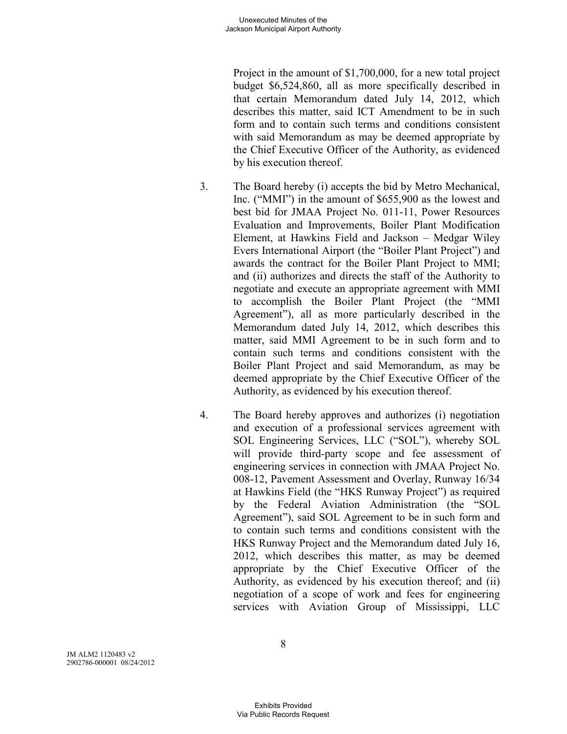Project in the amount of \$1,700,000, for a new total project budget \$6,524,860, all as more specifically described in that certain Memorandum dated July 14, 2012, which describes this matter, said ICT Amendment to be in such form and to contain such terms and conditions consistent with said Memorandum as may be deemed appropriate by the Chief Executive Officer of the Authority, as evidenced by his execution thereof.

- 3. The Board hereby (i) accepts the bid by Metro Mechanical, Inc. ("MMI") in the amount of \$655,900 as the lowest and best bid for JMAA Project No. 011-11, Power Resources Evaluation and Improvements, Boiler Plant Modification Element, at Hawkins Field and Jackson – Medgar Wiley Evers International Airport (the "Boiler Plant Project") and awards the contract for the Boiler Plant Project to MMI; and (ii) authorizes and directs the staff of the Authority to negotiate and execute an appropriate agreement with MMI to accomplish the Boiler Plant Project (the "MMI Agreement"), all as more particularly described in the Memorandum dated July 14, 2012, which describes this matter, said MMI Agreement to be in such form and to contain such terms and conditions consistent with the Boiler Plant Project and said Memorandum, as may be deemed appropriate by the Chief Executive Officer of the Authority, as evidenced by his execution thereof.
- 4. The Board hereby approves and authorizes (i) negotiation and execution of a professional services agreement with SOL Engineering Services, LLC ("SOL"), whereby SOL will provide third-party scope and fee assessment of engineering services in connection with JMAA Project No. 008-12, Pavement Assessment and Overlay, Runway 16/34 at Hawkins Field (the "HKS Runway Project") as required by the Federal Aviation Administration (the "SOL Agreement"), said SOL Agreement to be in such form and to contain such terms and conditions consistent with the HKS Runway Project and the Memorandum dated July 16, 2012, which describes this matter, as may be deemed appropriate by the Chief Executive Officer of the Authority, as evidenced by his execution thereof; and (ii) negotiation of a scope of work and fees for engineering services with Aviation Group of Mississippi, LLC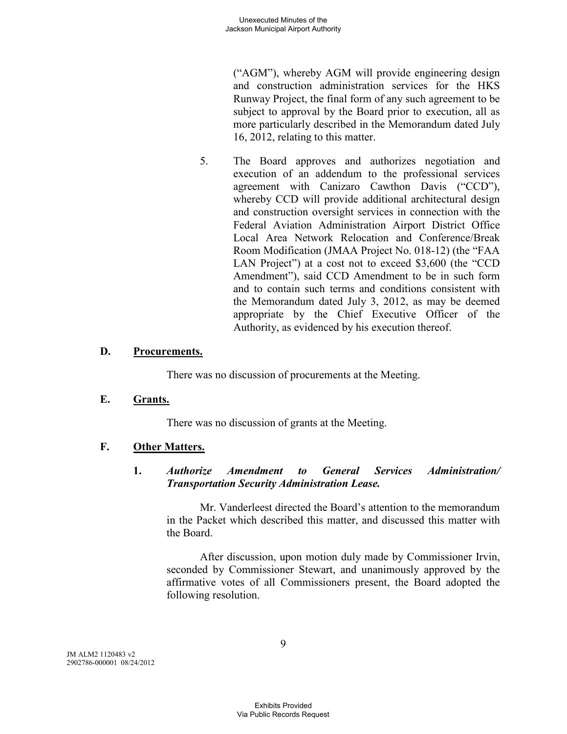("AGM"), whereby AGM will provide engineering design and construction administration services for the HKS Runway Project, the final form of any such agreement to be subject to approval by the Board prior to execution, all as more particularly described in the Memorandum dated July 16, 2012, relating to this matter.

5. The Board approves and authorizes negotiation and execution of an addendum to the professional services agreement with Canizaro Cawthon Davis ("CCD"), whereby CCD will provide additional architectural design and construction oversight services in connection with the Federal Aviation Administration Airport District Office Local Area Network Relocation and Conference/Break Room Modification (JMAA Project No. 018-12) (the "FAA LAN Project") at a cost not to exceed \$3,600 (the "CCD Amendment"), said CCD Amendment to be in such form and to contain such terms and conditions consistent with the Memorandum dated July 3, 2012, as may be deemed appropriate by the Chief Executive Officer of the Authority, as evidenced by his execution thereof.

### **D. Procurements.**

There was no discussion of procurements at the Meeting.

### **E. Grants.**

There was no discussion of grants at the Meeting.

### **F. Other Matters.**

### **1.** *Authorize Amendment to General Services Administration/ Transportation Security Administration Lease.*

Mr. Vanderleest directed the Board's attention to the memorandum in the Packet which described this matter, and discussed this matter with the Board.

After discussion, upon motion duly made by Commissioner Irvin, seconded by Commissioner Stewart, and unanimously approved by the affirmative votes of all Commissioners present, the Board adopted the following resolution.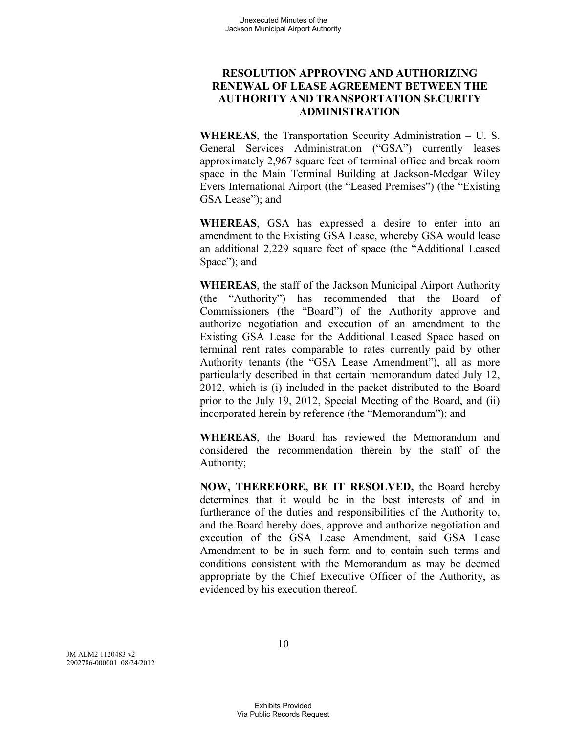### **RESOLUTION APPROVING AND AUTHORIZING RENEWAL OF LEASE AGREEMENT BETWEEN THE AUTHORITY AND TRANSPORTATION SECURITY ADMINISTRATION**

**WHEREAS**, the Transportation Security Administration – U. S. General Services Administration ("GSA") currently leases approximately 2,967 square feet of terminal office and break room space in the Main Terminal Building at Jackson-Medgar Wiley Evers International Airport (the "Leased Premises") (the "Existing GSA Lease"); and

**WHEREAS**, GSA has expressed a desire to enter into an amendment to the Existing GSA Lease, whereby GSA would lease an additional 2,229 square feet of space (the "Additional Leased Space"); and

**WHEREAS**, the staff of the Jackson Municipal Airport Authority (the "Authority") has recommended that the Board of Commissioners (the "Board") of the Authority approve and authorize negotiation and execution of an amendment to the Existing GSA Lease for the Additional Leased Space based on terminal rent rates comparable to rates currently paid by other Authority tenants (the "GSA Lease Amendment"), all as more particularly described in that certain memorandum dated July 12, 2012, which is (i) included in the packet distributed to the Board prior to the July 19, 2012, Special Meeting of the Board, and (ii) incorporated herein by reference (the "Memorandum"); and

**WHEREAS**, the Board has reviewed the Memorandum and considered the recommendation therein by the staff of the Authority;

**NOW, THEREFORE, BE IT RESOLVED,** the Board hereby determines that it would be in the best interests of and in furtherance of the duties and responsibilities of the Authority to, and the Board hereby does, approve and authorize negotiation and execution of the GSA Lease Amendment, said GSA Lease Amendment to be in such form and to contain such terms and conditions consistent with the Memorandum as may be deemed appropriate by the Chief Executive Officer of the Authority, as evidenced by his execution thereof.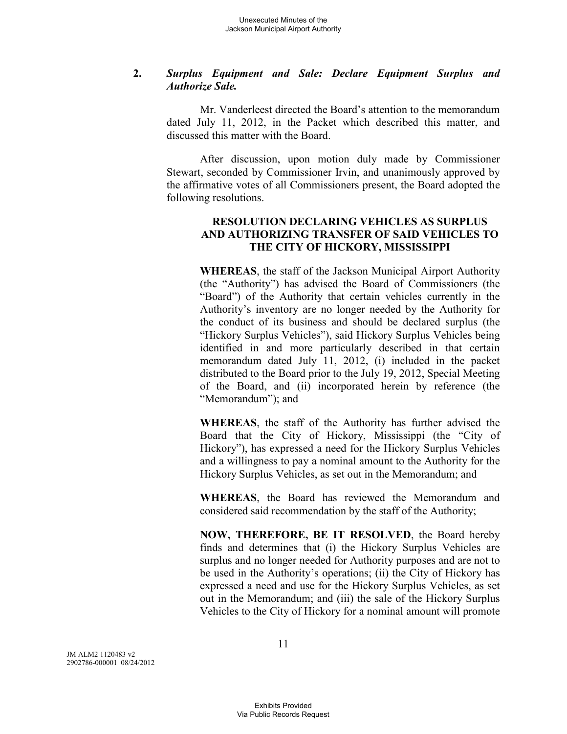### **2.** *Surplus Equipment and Sale: Declare Equipment Surplus and Authorize Sale.*

Mr. Vanderleest directed the Board's attention to the memorandum dated July 11, 2012, in the Packet which described this matter, and discussed this matter with the Board.

After discussion, upon motion duly made by Commissioner Stewart, seconded by Commissioner Irvin, and unanimously approved by the affirmative votes of all Commissioners present, the Board adopted the following resolutions.

### **RESOLUTION DECLARING VEHICLES AS SURPLUS AND AUTHORIZING TRANSFER OF SAID VEHICLES TO THE CITY OF HICKORY, MISSISSIPPI**

**WHEREAS**, the staff of the Jackson Municipal Airport Authority (the "Authority") has advised the Board of Commissioners (the "Board") of the Authority that certain vehicles currently in the Authority's inventory are no longer needed by the Authority for the conduct of its business and should be declared surplus (the "Hickory Surplus Vehicles"), said Hickory Surplus Vehicles being identified in and more particularly described in that certain memorandum dated July 11, 2012, (i) included in the packet distributed to the Board prior to the July 19, 2012, Special Meeting of the Board, and (ii) incorporated herein by reference (the "Memorandum"); and

**WHEREAS**, the staff of the Authority has further advised the Board that the City of Hickory, Mississippi (the "City of Hickory"), has expressed a need for the Hickory Surplus Vehicles and a willingness to pay a nominal amount to the Authority for the Hickory Surplus Vehicles, as set out in the Memorandum; and

**WHEREAS**, the Board has reviewed the Memorandum and considered said recommendation by the staff of the Authority;

**NOW, THEREFORE, BE IT RESOLVED**, the Board hereby finds and determines that (i) the Hickory Surplus Vehicles are surplus and no longer needed for Authority purposes and are not to be used in the Authority's operations; (ii) the City of Hickory has expressed a need and use for the Hickory Surplus Vehicles, as set out in the Memorandum; and (iii) the sale of the Hickory Surplus Vehicles to the City of Hickory for a nominal amount will promote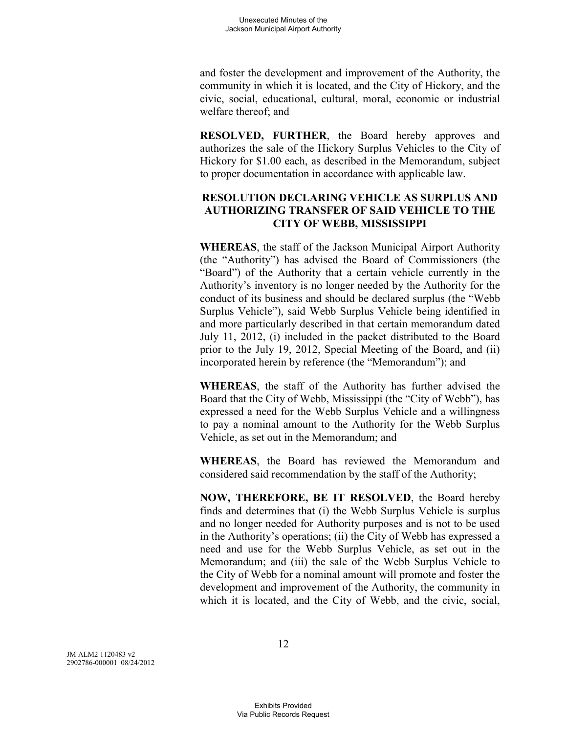and foster the development and improvement of the Authority, the community in which it is located, and the City of Hickory, and the civic, social, educational, cultural, moral, economic or industrial welfare thereof; and

**RESOLVED, FURTHER**, the Board hereby approves and authorizes the sale of the Hickory Surplus Vehicles to the City of Hickory for \$1.00 each, as described in the Memorandum, subject to proper documentation in accordance with applicable law.

### **RESOLUTION DECLARING VEHICLE AS SURPLUS AND AUTHORIZING TRANSFER OF SAID VEHICLE TO THE CITY OF WEBB, MISSISSIPPI**

**WHEREAS**, the staff of the Jackson Municipal Airport Authority (the "Authority") has advised the Board of Commissioners (the "Board") of the Authority that a certain vehicle currently in the Authority's inventory is no longer needed by the Authority for the conduct of its business and should be declared surplus (the "Webb Surplus Vehicle"), said Webb Surplus Vehicle being identified in and more particularly described in that certain memorandum dated July 11, 2012, (i) included in the packet distributed to the Board prior to the July 19, 2012, Special Meeting of the Board, and (ii) incorporated herein by reference (the "Memorandum"); and

**WHEREAS**, the staff of the Authority has further advised the Board that the City of Webb, Mississippi (the "City of Webb"), has expressed a need for the Webb Surplus Vehicle and a willingness to pay a nominal amount to the Authority for the Webb Surplus Vehicle, as set out in the Memorandum; and

**WHEREAS**, the Board has reviewed the Memorandum and considered said recommendation by the staff of the Authority;

**NOW, THEREFORE, BE IT RESOLVED**, the Board hereby finds and determines that (i) the Webb Surplus Vehicle is surplus and no longer needed for Authority purposes and is not to be used in the Authority's operations; (ii) the City of Webb has expressed a need and use for the Webb Surplus Vehicle, as set out in the Memorandum; and (iii) the sale of the Webb Surplus Vehicle to the City of Webb for a nominal amount will promote and foster the development and improvement of the Authority, the community in which it is located, and the City of Webb, and the civic, social,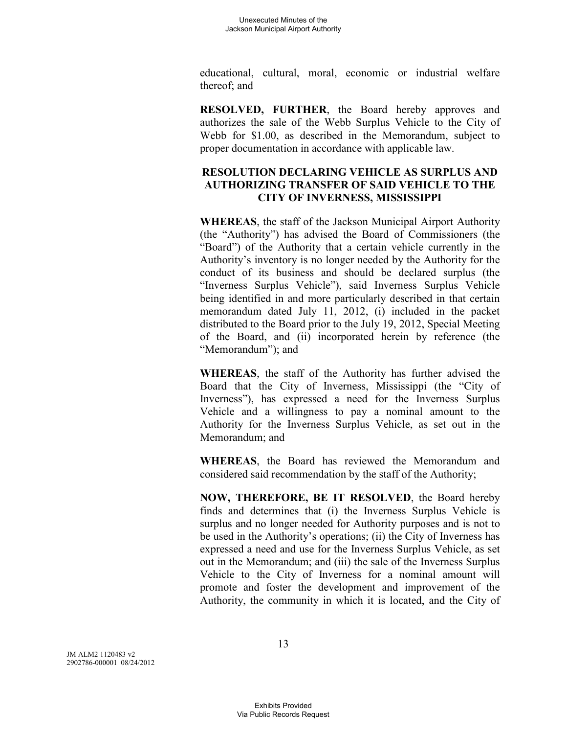educational, cultural, moral, economic or industrial welfare thereof; and

**RESOLVED, FURTHER**, the Board hereby approves and authorizes the sale of the Webb Surplus Vehicle to the City of Webb for \$1.00, as described in the Memorandum, subject to proper documentation in accordance with applicable law.

# **RESOLUTION DECLARING VEHICLE AS SURPLUS AND AUTHORIZING TRANSFER OF SAID VEHICLE TO THE CITY OF INVERNESS, MISSISSIPPI**

**WHEREAS**, the staff of the Jackson Municipal Airport Authority (the "Authority") has advised the Board of Commissioners (the "Board") of the Authority that a certain vehicle currently in the Authority's inventory is no longer needed by the Authority for the conduct of its business and should be declared surplus (the "Inverness Surplus Vehicle"), said Inverness Surplus Vehicle being identified in and more particularly described in that certain memorandum dated July 11, 2012, (i) included in the packet distributed to the Board prior to the July 19, 2012, Special Meeting of the Board, and (ii) incorporated herein by reference (the "Memorandum"); and

**WHEREAS**, the staff of the Authority has further advised the Board that the City of Inverness, Mississippi (the "City of Inverness"), has expressed a need for the Inverness Surplus Vehicle and a willingness to pay a nominal amount to the Authority for the Inverness Surplus Vehicle, as set out in the Memorandum; and

**WHEREAS**, the Board has reviewed the Memorandum and considered said recommendation by the staff of the Authority;

**NOW, THEREFORE, BE IT RESOLVED**, the Board hereby finds and determines that (i) the Inverness Surplus Vehicle is surplus and no longer needed for Authority purposes and is not to be used in the Authority's operations; (ii) the City of Inverness has expressed a need and use for the Inverness Surplus Vehicle, as set out in the Memorandum; and (iii) the sale of the Inverness Surplus Vehicle to the City of Inverness for a nominal amount will promote and foster the development and improvement of the Authority, the community in which it is located, and the City of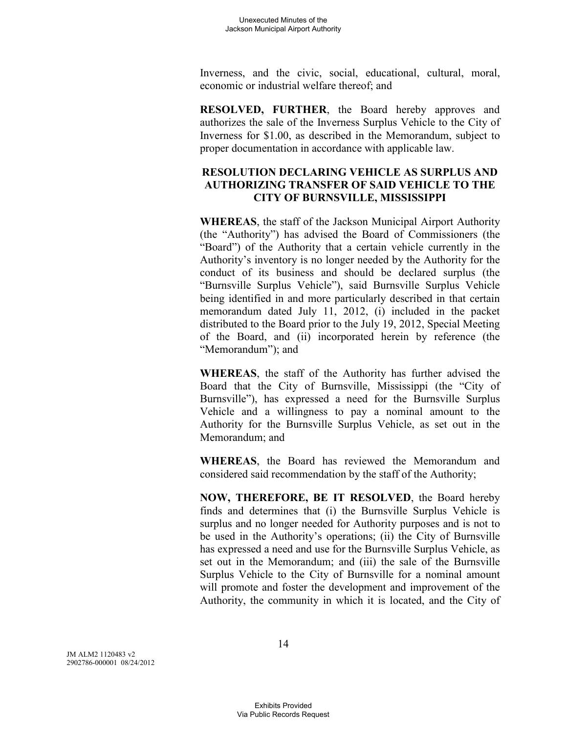Inverness, and the civic, social, educational, cultural, moral, economic or industrial welfare thereof; and

**RESOLVED, FURTHER**, the Board hereby approves and authorizes the sale of the Inverness Surplus Vehicle to the City of Inverness for \$1.00, as described in the Memorandum, subject to proper documentation in accordance with applicable law.

# **RESOLUTION DECLARING VEHICLE AS SURPLUS AND AUTHORIZING TRANSFER OF SAID VEHICLE TO THE CITY OF BURNSVILLE, MISSISSIPPI**

**WHEREAS**, the staff of the Jackson Municipal Airport Authority (the "Authority") has advised the Board of Commissioners (the "Board") of the Authority that a certain vehicle currently in the Authority's inventory is no longer needed by the Authority for the conduct of its business and should be declared surplus (the "Burnsville Surplus Vehicle"), said Burnsville Surplus Vehicle being identified in and more particularly described in that certain memorandum dated July 11, 2012, (i) included in the packet distributed to the Board prior to the July 19, 2012, Special Meeting of the Board, and (ii) incorporated herein by reference (the "Memorandum"); and

**WHEREAS**, the staff of the Authority has further advised the Board that the City of Burnsville, Mississippi (the "City of Burnsville"), has expressed a need for the Burnsville Surplus Vehicle and a willingness to pay a nominal amount to the Authority for the Burnsville Surplus Vehicle, as set out in the Memorandum; and

**WHEREAS**, the Board has reviewed the Memorandum and considered said recommendation by the staff of the Authority;

**NOW, THEREFORE, BE IT RESOLVED**, the Board hereby finds and determines that (i) the Burnsville Surplus Vehicle is surplus and no longer needed for Authority purposes and is not to be used in the Authority's operations; (ii) the City of Burnsville has expressed a need and use for the Burnsville Surplus Vehicle, as set out in the Memorandum; and (iii) the sale of the Burnsville Surplus Vehicle to the City of Burnsville for a nominal amount will promote and foster the development and improvement of the Authority, the community in which it is located, and the City of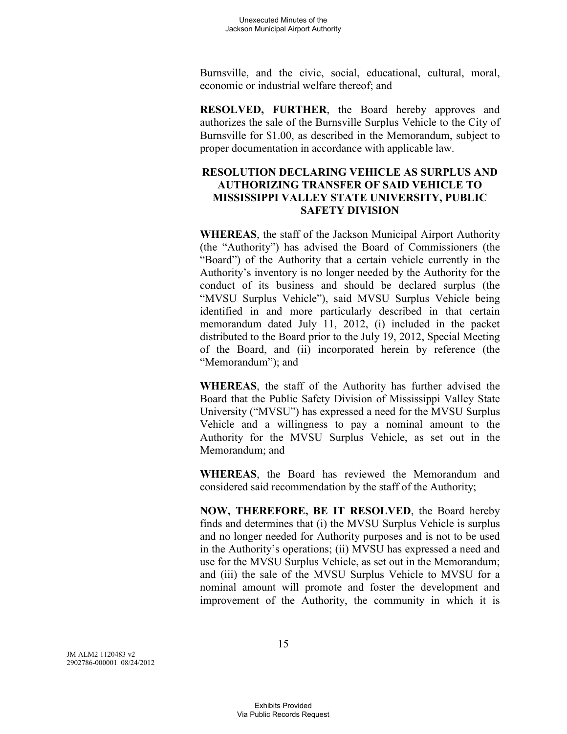Burnsville, and the civic, social, educational, cultural, moral, economic or industrial welfare thereof; and

**RESOLVED, FURTHER**, the Board hereby approves and authorizes the sale of the Burnsville Surplus Vehicle to the City of Burnsville for \$1.00, as described in the Memorandum, subject to proper documentation in accordance with applicable law.

## **RESOLUTION DECLARING VEHICLE AS SURPLUS AND AUTHORIZING TRANSFER OF SAID VEHICLE TO MISSISSIPPI VALLEY STATE UNIVERSITY, PUBLIC SAFETY DIVISION**

**WHEREAS**, the staff of the Jackson Municipal Airport Authority (the "Authority") has advised the Board of Commissioners (the "Board") of the Authority that a certain vehicle currently in the Authority's inventory is no longer needed by the Authority for the conduct of its business and should be declared surplus (the "MVSU Surplus Vehicle"), said MVSU Surplus Vehicle being identified in and more particularly described in that certain memorandum dated July 11, 2012, (i) included in the packet distributed to the Board prior to the July 19, 2012, Special Meeting of the Board, and (ii) incorporated herein by reference (the "Memorandum"); and

**WHEREAS**, the staff of the Authority has further advised the Board that the Public Safety Division of Mississippi Valley State University ("MVSU") has expressed a need for the MVSU Surplus Vehicle and a willingness to pay a nominal amount to the Authority for the MVSU Surplus Vehicle, as set out in the Memorandum; and

**WHEREAS**, the Board has reviewed the Memorandum and considered said recommendation by the staff of the Authority;

**NOW, THEREFORE, BE IT RESOLVED**, the Board hereby finds and determines that (i) the MVSU Surplus Vehicle is surplus and no longer needed for Authority purposes and is not to be used in the Authority's operations; (ii) MVSU has expressed a need and use for the MVSU Surplus Vehicle, as set out in the Memorandum; and (iii) the sale of the MVSU Surplus Vehicle to MVSU for a nominal amount will promote and foster the development and improvement of the Authority, the community in which it is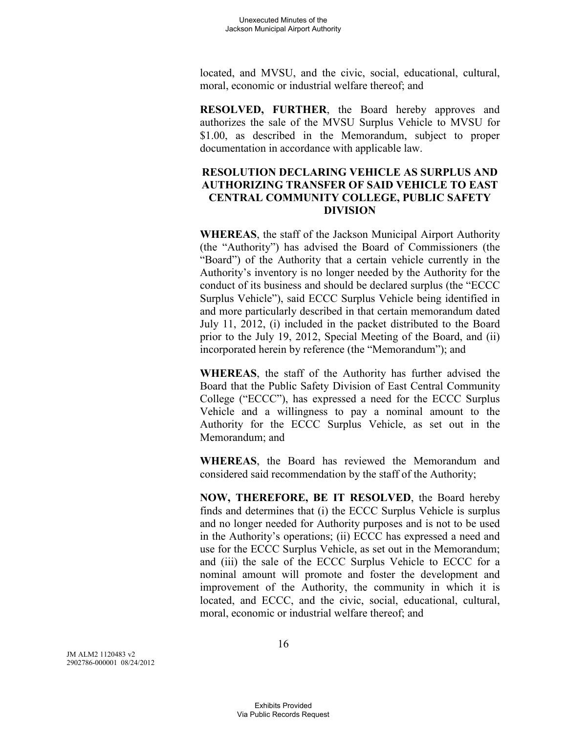located, and MVSU, and the civic, social, educational, cultural, moral, economic or industrial welfare thereof; and

**RESOLVED, FURTHER**, the Board hereby approves and authorizes the sale of the MVSU Surplus Vehicle to MVSU for \$1.00, as described in the Memorandum, subject to proper documentation in accordance with applicable law.

## **RESOLUTION DECLARING VEHICLE AS SURPLUS AND AUTHORIZING TRANSFER OF SAID VEHICLE TO EAST CENTRAL COMMUNITY COLLEGE, PUBLIC SAFETY DIVISION**

**WHEREAS**, the staff of the Jackson Municipal Airport Authority (the "Authority") has advised the Board of Commissioners (the "Board") of the Authority that a certain vehicle currently in the Authority's inventory is no longer needed by the Authority for the conduct of its business and should be declared surplus (the "ECCC Surplus Vehicle"), said ECCC Surplus Vehicle being identified in and more particularly described in that certain memorandum dated July 11, 2012, (i) included in the packet distributed to the Board prior to the July 19, 2012, Special Meeting of the Board, and (ii) incorporated herein by reference (the "Memorandum"); and

**WHEREAS**, the staff of the Authority has further advised the Board that the Public Safety Division of East Central Community College ("ECCC"), has expressed a need for the ECCC Surplus Vehicle and a willingness to pay a nominal amount to the Authority for the ECCC Surplus Vehicle, as set out in the Memorandum; and

**WHEREAS**, the Board has reviewed the Memorandum and considered said recommendation by the staff of the Authority;

**NOW, THEREFORE, BE IT RESOLVED**, the Board hereby finds and determines that (i) the ECCC Surplus Vehicle is surplus and no longer needed for Authority purposes and is not to be used in the Authority's operations; (ii) ECCC has expressed a need and use for the ECCC Surplus Vehicle, as set out in the Memorandum; and (iii) the sale of the ECCC Surplus Vehicle to ECCC for a nominal amount will promote and foster the development and improvement of the Authority, the community in which it is located, and ECCC, and the civic, social, educational, cultural, moral, economic or industrial welfare thereof; and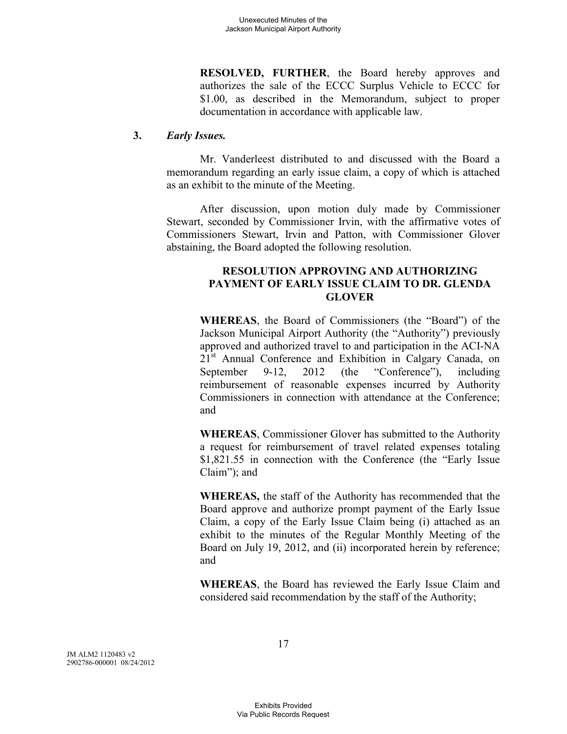**RESOLVED, FURTHER**, the Board hereby approves and authorizes the sale of the ECCC Surplus Vehicle to ECCC for \$1.00, as described in the Memorandum, subject to proper documentation in accordance with applicable law.

### **3.** *Early Issues.*

Mr. Vanderleest distributed to and discussed with the Board a memorandum regarding an early issue claim, a copy of which is attached as an exhibit to the minute of the Meeting.

After discussion, upon motion duly made by Commissioner Stewart, seconded by Commissioner Irvin, with the affirmative votes of Commissioners Stewart, Irvin and Patton, with Commissioner Glover abstaining, the Board adopted the following resolution.

### **RESOLUTION APPROVING AND AUTHORIZING PAYMENT OF EARLY ISSUE CLAIM TO DR. GLENDA GLOVER**

**WHEREAS**, the Board of Commissioners (the "Board") of the Jackson Municipal Airport Authority (the "Authority") previously approved and authorized travel to and participation in the ACI-NA 21<sup>st</sup> Annual Conference and Exhibition in Calgary Canada, on September 9-12, 2012 (the "Conference"), including reimbursement of reasonable expenses incurred by Authority Commissioners in connection with attendance at the Conference; and

**WHEREAS**, Commissioner Glover has submitted to the Authority a request for reimbursement of travel related expenses totaling \$1,821.55 in connection with the Conference (the "Early Issue Claim"); and

**WHEREAS,** the staff of the Authority has recommended that the Board approve and authorize prompt payment of the Early Issue Claim, a copy of the Early Issue Claim being (i) attached as an exhibit to the minutes of the Regular Monthly Meeting of the Board on July 19, 2012, and (ii) incorporated herein by reference; and

**WHEREAS**, the Board has reviewed the Early Issue Claim and considered said recommendation by the staff of the Authority;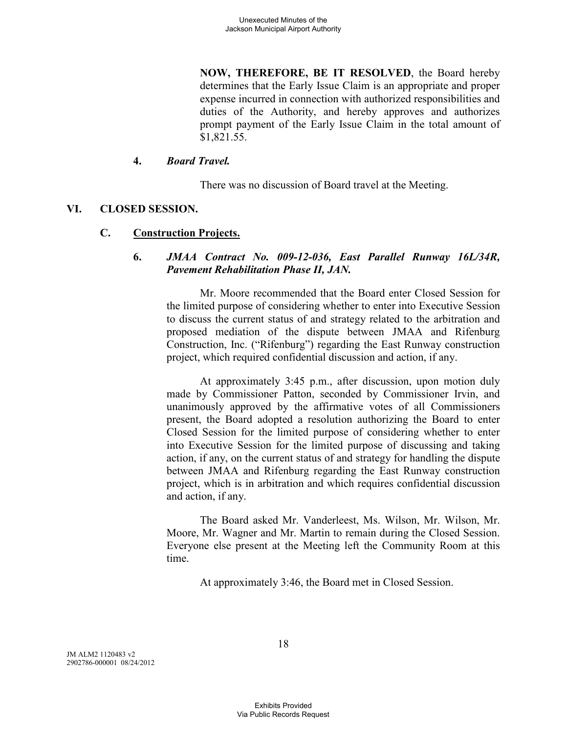**NOW, THEREFORE, BE IT RESOLVED**, the Board hereby determines that the Early Issue Claim is an appropriate and proper expense incurred in connection with authorized responsibilities and duties of the Authority, and hereby approves and authorizes prompt payment of the Early Issue Claim in the total amount of \$1,821.55.

### **4.** *Board Travel.*

There was no discussion of Board travel at the Meeting.

### **VI. CLOSED SESSION.**

### **C. Construction Projects.**

### **6.** *JMAA Contract No. 009-12-036, East Parallel Runway 16L/34R, Pavement Rehabilitation Phase II, JAN.*

Mr. Moore recommended that the Board enter Closed Session for the limited purpose of considering whether to enter into Executive Session to discuss the current status of and strategy related to the arbitration and proposed mediation of the dispute between JMAA and Rifenburg Construction, Inc. ("Rifenburg") regarding the East Runway construction project, which required confidential discussion and action, if any.

At approximately 3:45 p.m., after discussion, upon motion duly made by Commissioner Patton, seconded by Commissioner Irvin, and unanimously approved by the affirmative votes of all Commissioners present, the Board adopted a resolution authorizing the Board to enter Closed Session for the limited purpose of considering whether to enter into Executive Session for the limited purpose of discussing and taking action, if any, on the current status of and strategy for handling the dispute between JMAA and Rifenburg regarding the East Runway construction project, which is in arbitration and which requires confidential discussion and action, if any.

The Board asked Mr. Vanderleest, Ms. Wilson, Mr. Wilson, Mr. Moore, Mr. Wagner and Mr. Martin to remain during the Closed Session. Everyone else present at the Meeting left the Community Room at this time.

At approximately 3:46, the Board met in Closed Session.

JM ALM2 1120483 v2 2902786-000001 08/24/2012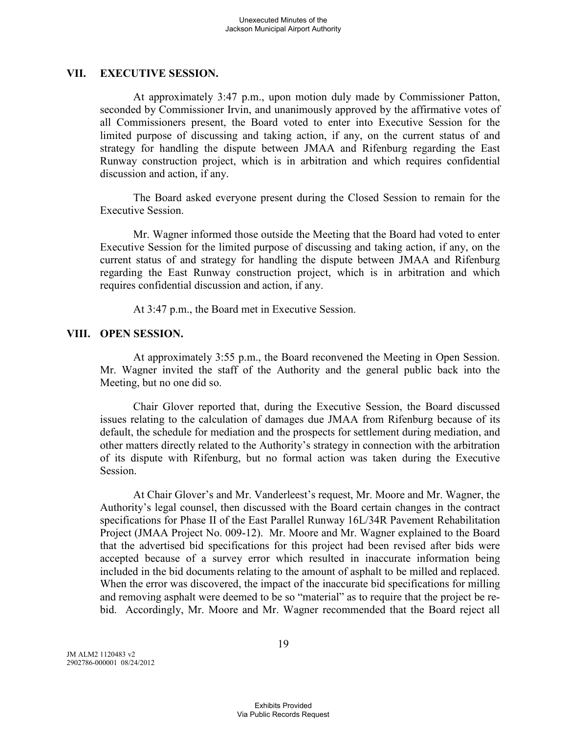#### **VII. EXECUTIVE SESSION.**

At approximately 3:47 p.m., upon motion duly made by Commissioner Patton, seconded by Commissioner Irvin, and unanimously approved by the affirmative votes of all Commissioners present, the Board voted to enter into Executive Session for the limited purpose of discussing and taking action, if any, on the current status of and strategy for handling the dispute between JMAA and Rifenburg regarding the East Runway construction project, which is in arbitration and which requires confidential discussion and action, if any.

The Board asked everyone present during the Closed Session to remain for the Executive Session.

Mr. Wagner informed those outside the Meeting that the Board had voted to enter Executive Session for the limited purpose of discussing and taking action, if any, on the current status of and strategy for handling the dispute between JMAA and Rifenburg regarding the East Runway construction project, which is in arbitration and which requires confidential discussion and action, if any.

At 3:47 p.m., the Board met in Executive Session.

### **VIII. OPEN SESSION.**

At approximately 3:55 p.m., the Board reconvened the Meeting in Open Session. Mr. Wagner invited the staff of the Authority and the general public back into the Meeting, but no one did so.

Chair Glover reported that, during the Executive Session, the Board discussed issues relating to the calculation of damages due JMAA from Rifenburg because of its default, the schedule for mediation and the prospects for settlement during mediation, and other matters directly related to the Authority's strategy in connection with the arbitration of its dispute with Rifenburg, but no formal action was taken during the Executive Session.

At Chair Glover's and Mr. Vanderleest's request, Mr. Moore and Mr. Wagner, the Authority's legal counsel, then discussed with the Board certain changes in the contract specifications for Phase II of the East Parallel Runway 16L/34R Pavement Rehabilitation Project (JMAA Project No. 009-12). Mr. Moore and Mr. Wagner explained to the Board that the advertised bid specifications for this project had been revised after bids were accepted because of a survey error which resulted in inaccurate information being included in the bid documents relating to the amount of asphalt to be milled and replaced. When the error was discovered, the impact of the inaccurate bid specifications for milling and removing asphalt were deemed to be so "material" as to require that the project be rebid. Accordingly, Mr. Moore and Mr. Wagner recommended that the Board reject all

JM ALM2 1120483 v2 2902786-000001 08/24/2012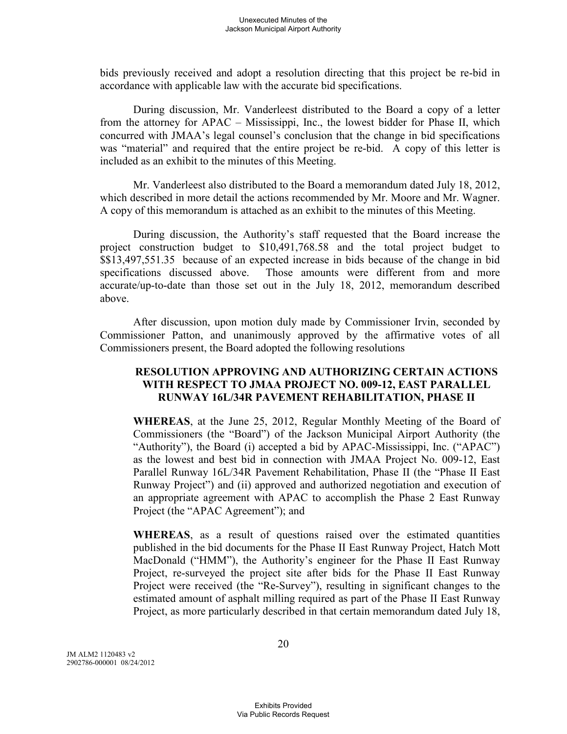bids previously received and adopt a resolution directing that this project be re-bid in accordance with applicable law with the accurate bid specifications.

During discussion, Mr. Vanderleest distributed to the Board a copy of a letter from the attorney for APAC – Mississippi, Inc., the lowest bidder for Phase II, which concurred with JMAA's legal counsel's conclusion that the change in bid specifications was "material" and required that the entire project be re-bid. A copy of this letter is included as an exhibit to the minutes of this Meeting.

Mr. Vanderleest also distributed to the Board a memorandum dated July 18, 2012, which described in more detail the actions recommended by Mr. Moore and Mr. Wagner. A copy of this memorandum is attached as an exhibit to the minutes of this Meeting.

During discussion, the Authority's staff requested that the Board increase the project construction budget to \$10,491,768.58 and the total project budget to \$\$13,497,551.35 because of an expected increase in bids because of the change in bid specifications discussed above. Those amounts were different from and more accurate/up-to-date than those set out in the July 18, 2012, memorandum described above.

After discussion, upon motion duly made by Commissioner Irvin, seconded by Commissioner Patton, and unanimously approved by the affirmative votes of all Commissioners present, the Board adopted the following resolutions

### **RESOLUTION APPROVING AND AUTHORIZING CERTAIN ACTIONS WITH RESPECT TO JMAA PROJECT NO. 009-12, EAST PARALLEL RUNWAY 16L/34R PAVEMENT REHABILITATION, PHASE II**

**WHEREAS**, at the June 25, 2012, Regular Monthly Meeting of the Board of Commissioners (the "Board") of the Jackson Municipal Airport Authority (the "Authority"), the Board (i) accepted a bid by APAC-Mississippi, Inc. ("APAC") as the lowest and best bid in connection with JMAA Project No. 009-12, East Parallel Runway 16L/34R Pavement Rehabilitation, Phase II (the "Phase II East Runway Project") and (ii) approved and authorized negotiation and execution of an appropriate agreement with APAC to accomplish the Phase 2 East Runway Project (the "APAC Agreement"); and

**WHEREAS**, as a result of questions raised over the estimated quantities published in the bid documents for the Phase II East Runway Project, Hatch Mott MacDonald ("HMM"), the Authority's engineer for the Phase II East Runway Project, re-surveyed the project site after bids for the Phase II East Runway Project were received (the "Re-Survey"), resulting in significant changes to the estimated amount of asphalt milling required as part of the Phase II East Runway Project, as more particularly described in that certain memorandum dated July 18,

JM ALM2 1120483 v2 2902786-000001 08/24/2012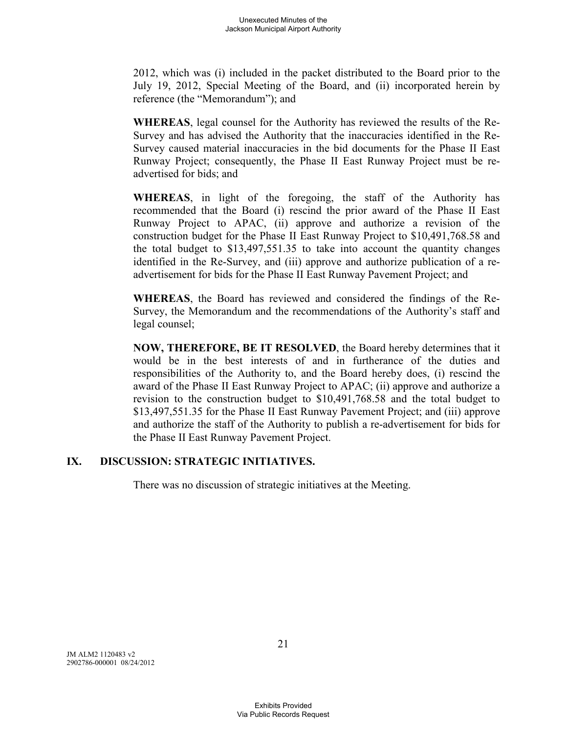2012, which was (i) included in the packet distributed to the Board prior to the July 19, 2012, Special Meeting of the Board, and (ii) incorporated herein by reference (the "Memorandum"); and

**WHEREAS**, legal counsel for the Authority has reviewed the results of the Re-Survey and has advised the Authority that the inaccuracies identified in the Re-Survey caused material inaccuracies in the bid documents for the Phase II East Runway Project; consequently, the Phase II East Runway Project must be readvertised for bids; and

**WHEREAS**, in light of the foregoing, the staff of the Authority has recommended that the Board (i) rescind the prior award of the Phase II East Runway Project to APAC, (ii) approve and authorize a revision of the construction budget for the Phase II East Runway Project to \$10,491,768.58 and the total budget to \$13,497,551.35 to take into account the quantity changes identified in the Re-Survey, and (iii) approve and authorize publication of a readvertisement for bids for the Phase II East Runway Pavement Project; and

**WHEREAS**, the Board has reviewed and considered the findings of the Re-Survey, the Memorandum and the recommendations of the Authority's staff and legal counsel;

**NOW, THEREFORE, BE IT RESOLVED**, the Board hereby determines that it would be in the best interests of and in furtherance of the duties and responsibilities of the Authority to, and the Board hereby does, (i) rescind the award of the Phase II East Runway Project to APAC; (ii) approve and authorize a revision to the construction budget to \$10,491,768.58 and the total budget to \$13,497,551.35 for the Phase II East Runway Pavement Project; and (iii) approve and authorize the staff of the Authority to publish a re-advertisement for bids for the Phase II East Runway Pavement Project.

## **IX. DISCUSSION: STRATEGIC INITIATIVES.**

There was no discussion of strategic initiatives at the Meeting.